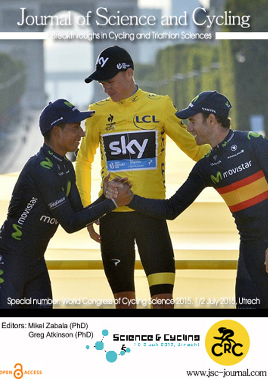## Journal of Science and Cycling

Breakthroughs in Cycling and Triathlon Sciences



Editors: Mikel Zabala (PhD) Greg Atkinson (PhD)

OPEN CACCESS





www.jsc-journal.com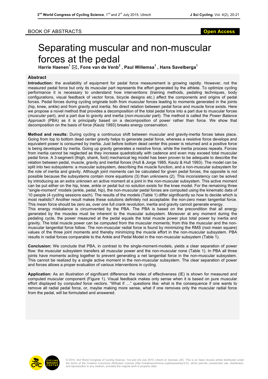## BOOK OF ABSTRACTS **Open Access**

## Separating muscular and non-muscular forces at the pedal

**Harrie Haenen<sup>1</sup>** \***, Fons van de Venb<sup>2</sup> , Paul Willemsa<sup>1</sup> , Hans Savelberga<sup>1</sup>**

## **Abstract**

**Introduction:** the availability of equipment for pedal force measurement is growing rapidly. However, not the measured pedal force but only its muscular part represents the effort generated by the athlete. To optimize cycling performance it is necessary to understand how interventions (training methods, pedaling techniques, body configurations, visual feedback of vector force, bicycle designs etc.) affect the components and origins of pedal forces. Pedal forces during cycling originate both from muscular forces leading to moments generated in the joints (hip, knee, ankle) and from gravity and inertia. No direct relation between pedal force and muscle force exists. Here we propose a novel method that provides a decomposition of the total pedal force into a part due to muscular forces (*muscular* part), and a part due to gravity and inertia (*non-muscular* part). The method is called the *Power Balance Approach* (PBA) as it is principally based on a decomposition of power rather than force. We show that decomposition on the basis of force (Kautz 1993) breaks energy conservation.

**Method and results:** During cycling a continuous shift between muscular and gravity-inertia forces takes place. Going from top to bottom dead center gravity helps to generate pedal force, whereas a resistive force develops and equivalent power is consumed by inertia. Just before bottom dead center this power is returned and a positive force is being developed by inertia. Going up gravity generates a resistive force, while the inertia process repeats. Forces from inertia cannot be neglected as they increase quadratically with cadence and even may exceed total muscular pedal force. A 3-segment (thigh, shank, foot) mechanical leg model has been proven to be adequate to describe the relation between pedal, muscle, gravity and inertial forces (Hull & Jorge 1985, Kautz & Hull 1993). The model can be split into two subsystems: a muscular subsystem, describing the muscle function, and a non-muscular subsystem for the role of inertia and gravity. Although joint moments can be calculated for given pedal forces, the opposite is not possible because the subsystems contain more equations (3) than unknowns (2). This inconsistency can be solved by introducing as an extra unknown an active moment at a joint in the non-muscular subsystem. This active moment can be put either on the hip, knee, ankle or pedal but no solution exists for the knee model. For the remaining three "single-moment" models (ankle, pedal, hip), the non-muscular pedal forces are computed using the kinematic data of 10 people (4 cycling sessions each). The results of the models (Table 1) differ significantly so how to decide which is most realistic? Another result makes these solutions definitely not acceptable: the non-zero mean tangential force. This mean force should be zero as, over one full crank revolution, inertia and gravity cannot generate energy. This energy misbalance is circumvented by the PBA. The PBA is based on the precondition that all energy generated by the muscles must be inherent to the muscular subsystem. Moreover at any moment during the pedaling cycle, the power measured at the pedal equals the total muscle power plus total power by inertia and gravity. The total muscle power can be computed from the muscular moments; from this the muscular and the nonmuscular tangential force follow. The non-muscular radial force is found by minimizing the RMS (root mean square) values of the three joint moments and thereby minimizing the muscle effort in the non-muscular subsystem. PBA results in radial forces comparable to the Ankle and Pedal Model in the non-muscular subsystem (Table 1).

**Conclusion:** We conclude that PBA, in contrast to the single-moment-models, yields a clear separation of power flow: the muscular subsystem transfers all muscular power and the non-muscular none (Table 1). In PBA all three joints have moments acting together to prevent generating a net tangential force in the non-muscular subsystem. This cannot be realized by a single active moment in the non-muscular subsystem. The clear separation of power and forces allows a proper evaluation of various interventions in cycling.

**Application:** As an illustration of significant difference the index of effectiveness (IE) is shown for measured and computed muscular component (Figure 1). Visual feedback makes only sense when it is based on pure muscular effort displayed by *computed* force vectors. "What if …" questions like: what is the consequence if one wants to remove all radial pedal force, or, maybe making more sense, what if one removes only the muscular radial force from the pedal, will be formulated and answered.